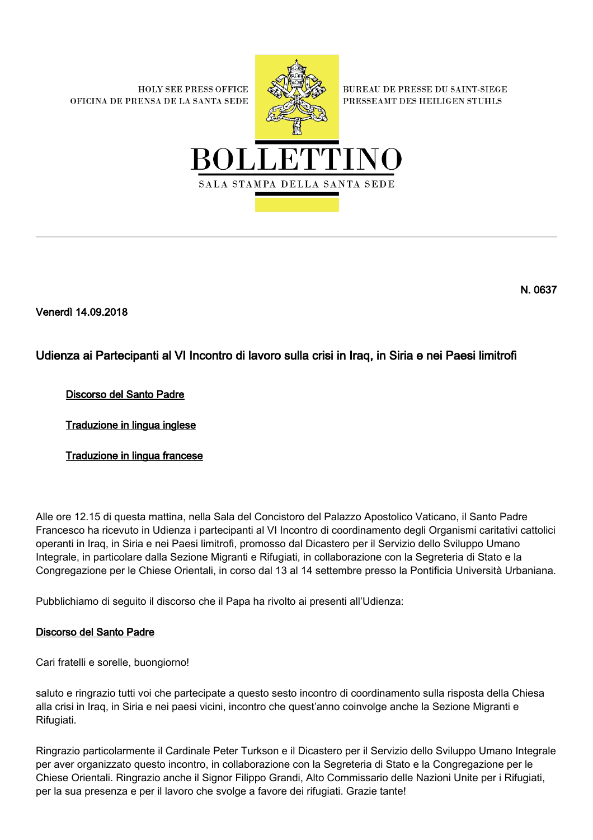**HOLY SEE PRESS OFFICE** OFICINA DE PRENSA DE LA SANTA SEDE



**BUREAU DE PRESSE DU SAINT-SIEGE** PRESSEAMT DES HEILIGEN STUHLS



N. 0637

Venerdì 14.09.2018

# Udienza ai Partecipanti al VI Incontro di lavoro sulla crisi in Iraq, in Siria e nei Paesi limitrofi

# Discorso del Santo Padre

Traduzione in lingua inglese

Traduzione in lingua francese

Alle ore 12.15 di questa mattina, nella Sala del Concistoro del Palazzo Apostolico Vaticano, il Santo Padre Francesco ha ricevuto in Udienza i partecipanti al VI Incontro di coordinamento degli Organismi caritativi cattolici operanti in Iraq, in Siria e nei Paesi limitrofi, promosso dal Dicastero per il Servizio dello Sviluppo Umano Integrale, in particolare dalla Sezione Migranti e Rifugiati, in collaborazione con la Segreteria di Stato e la Congregazione per le Chiese Orientali, in corso dal 13 al 14 settembre presso la Pontificia Università Urbaniana.

Pubblichiamo di seguito il discorso che il Papa ha rivolto ai presenti all'Udienza:

### Discorso del Santo Padre

Cari fratelli e sorelle, buongiorno!

saluto e ringrazio tutti voi che partecipate a questo sesto incontro di coordinamento sulla risposta della Chiesa alla crisi in Iraq, in Siria e nei paesi vicini, incontro che quest'anno coinvolge anche la Sezione Migranti e Rifugiati.

Ringrazio particolarmente il Cardinale Peter Turkson e il Dicastero per il Servizio dello Sviluppo Umano Integrale per aver organizzato questo incontro, in collaborazione con la Segreteria di Stato e la Congregazione per le Chiese Orientali. Ringrazio anche il Signor Filippo Grandi, Alto Commissario delle Nazioni Unite per i Rifugiati, per la sua presenza e per il lavoro che svolge a favore dei rifugiati. Grazie tante!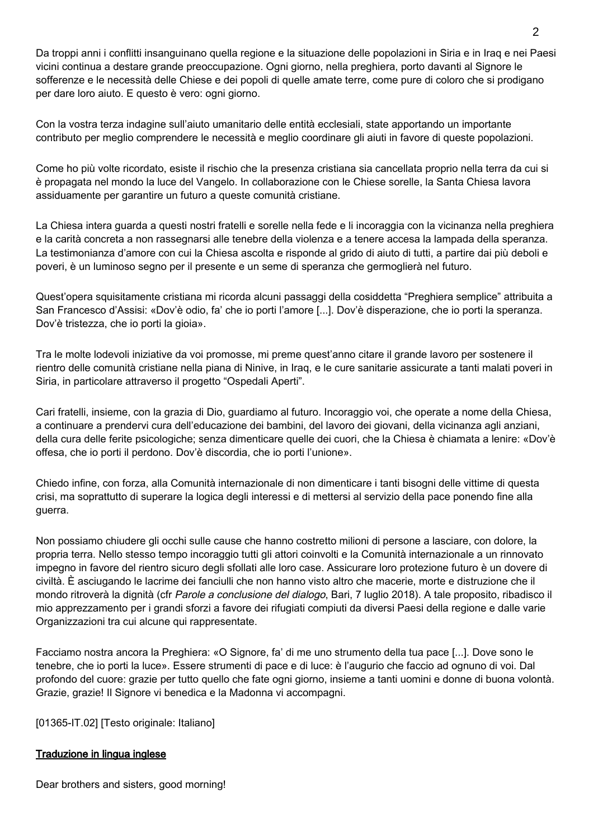Da troppi anni i conflitti insanguinano quella regione e la situazione delle popolazioni in Siria e in Iraq e nei Paesi vicini continua a destare grande preoccupazione. Ogni giorno, nella preghiera, porto davanti al Signore le sofferenze e le necessità delle Chiese e dei popoli di quelle amate terre, come pure di coloro che si prodigano per dare loro aiuto. E questo è vero: ogni giorno.

Con la vostra terza indagine sull'aiuto umanitario delle entità ecclesiali, state apportando un importante contributo per meglio comprendere le necessità e meglio coordinare gli aiuti in favore di queste popolazioni.

Come ho più volte ricordato, esiste il rischio che la presenza cristiana sia cancellata proprio nella terra da cui si è propagata nel mondo la luce del Vangelo. In collaborazione con le Chiese sorelle, la Santa Chiesa lavora assiduamente per garantire un futuro a queste comunità cristiane.

La Chiesa intera guarda a questi nostri fratelli e sorelle nella fede e li incoraggia con la vicinanza nella preghiera e la carità concreta a non rassegnarsi alle tenebre della violenza e a tenere accesa la lampada della speranza. La testimonianza d'amore con cui la Chiesa ascolta e risponde al grido di aiuto di tutti, a partire dai più deboli e poveri, è un luminoso segno per il presente e un seme di speranza che germoglierà nel futuro.

Quest'opera squisitamente cristiana mi ricorda alcuni passaggi della cosiddetta "Preghiera semplice" attribuita a San Francesco d'Assisi: «Dov'è odio, fa' che io porti l'amore [...]. Dov'è disperazione, che io porti la speranza. Dov'è tristezza, che io porti la gioia».

Tra le molte lodevoli iniziative da voi promosse, mi preme quest'anno citare il grande lavoro per sostenere il rientro delle comunità cristiane nella piana di Ninive, in Iraq, e le cure sanitarie assicurate a tanti malati poveri in Siria, in particolare attraverso il progetto "Ospedali Aperti".

Cari fratelli, insieme, con la grazia di Dio, guardiamo al futuro. Incoraggio voi, che operate a nome della Chiesa, a continuare a prendervi cura dell'educazione dei bambini, del lavoro dei giovani, della vicinanza agli anziani, della cura delle ferite psicologiche; senza dimenticare quelle dei cuori, che la Chiesa è chiamata a lenire: «Dov'è offesa, che io porti il perdono. Dov'è discordia, che io porti l'unione».

Chiedo infine, con forza, alla Comunità internazionale di non dimenticare i tanti bisogni delle vittime di questa crisi, ma soprattutto di superare la logica degli interessi e di mettersi al servizio della pace ponendo fine alla guerra.

Non possiamo chiudere gli occhi sulle cause che hanno costretto milioni di persone a lasciare, con dolore, la propria terra. Nello stesso tempo incoraggio tutti gli attori coinvolti e la Comunità internazionale a un rinnovato impegno in favore del rientro sicuro degli sfollati alle loro case. Assicurare loro protezione futuro è un dovere di civiltà. È asciugando le lacrime dei fanciulli che non hanno visto altro che macerie, morte e distruzione che il mondo ritroverà la dignità (cfr Parole a conclusione del dialogo, Bari, 7 luglio 2018). A tale proposito, ribadisco il mio apprezzamento per i grandi sforzi a favore dei rifugiati compiuti da diversi Paesi della regione e dalle varie Organizzazioni tra cui alcune qui rappresentate.

Facciamo nostra ancora la Preghiera: «O Signore, fa' di me uno strumento della tua pace [...]. Dove sono le tenebre, che io porti la luce». Essere strumenti di pace e di luce: è l'augurio che faccio ad ognuno di voi. Dal profondo del cuore: grazie per tutto quello che fate ogni giorno, insieme a tanti uomini e donne di buona volontà. Grazie, grazie! Il Signore vi benedica e la Madonna vi accompagni.

[01365-IT.02] [Testo originale: Italiano]

# Traduzione in lingua inglese

Dear brothers and sisters, good morning!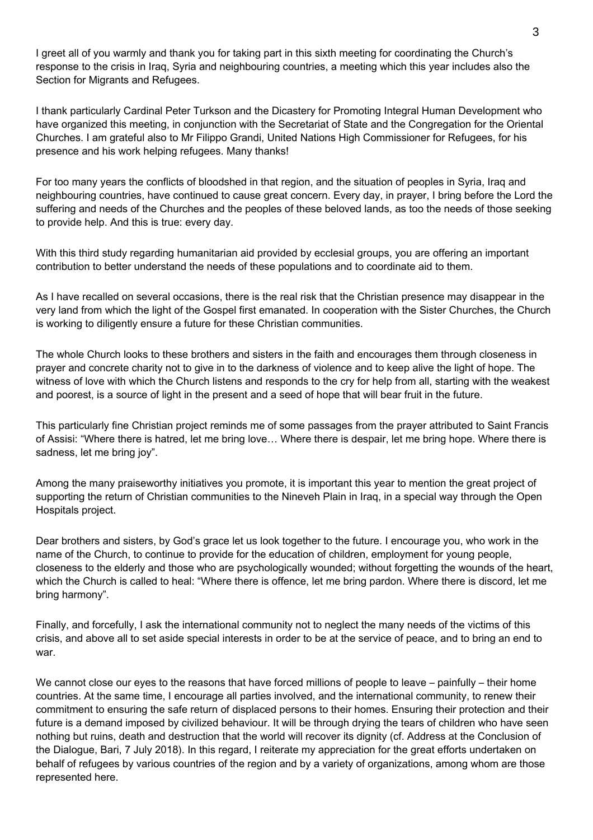I greet all of you warmly and thank you for taking part in this sixth meeting for coordinating the Church's response to the crisis in Iraq, Syria and neighbouring countries, a meeting which this year includes also the Section for Migrants and Refugees.

I thank particularly Cardinal Peter Turkson and the Dicastery for Promoting Integral Human Development who have organized this meeting, in conjunction with the Secretariat of State and the Congregation for the Oriental Churches. I am grateful also to Mr Filippo Grandi, United Nations High Commissioner for Refugees, for his presence and his work helping refugees. Many thanks!

For too many years the conflicts of bloodshed in that region, and the situation of peoples in Syria, Iraq and neighbouring countries, have continued to cause great concern. Every day, in prayer, I bring before the Lord the suffering and needs of the Churches and the peoples of these beloved lands, as too the needs of those seeking to provide help. And this is true: every day.

With this third study regarding humanitarian aid provided by ecclesial groups, you are offering an important contribution to better understand the needs of these populations and to coordinate aid to them.

As I have recalled on several occasions, there is the real risk that the Christian presence may disappear in the very land from which the light of the Gospel first emanated. In cooperation with the Sister Churches, the Church is working to diligently ensure a future for these Christian communities.

The whole Church looks to these brothers and sisters in the faith and encourages them through closeness in prayer and concrete charity not to give in to the darkness of violence and to keep alive the light of hope. The witness of love with which the Church listens and responds to the cry for help from all, starting with the weakest and poorest, is a source of light in the present and a seed of hope that will bear fruit in the future.

This particularly fine Christian project reminds me of some passages from the prayer attributed to Saint Francis of Assisi: "Where there is hatred, let me bring love… Where there is despair, let me bring hope. Where there is sadness, let me bring joy".

Among the many praiseworthy initiatives you promote, it is important this year to mention the great project of supporting the return of Christian communities to the Nineveh Plain in Iraq, in a special way through the Open Hospitals project.

Dear brothers and sisters, by God's grace let us look together to the future. I encourage you, who work in the name of the Church, to continue to provide for the education of children, employment for young people, closeness to the elderly and those who are psychologically wounded; without forgetting the wounds of the heart, which the Church is called to heal: "Where there is offence, let me bring pardon. Where there is discord, let me bring harmony".

Finally, and forcefully, I ask the international community not to neglect the many needs of the victims of this crisis, and above all to set aside special interests in order to be at the service of peace, and to bring an end to war.

We cannot close our eyes to the reasons that have forced millions of people to leave – painfully – their home countries. At the same time, I encourage all parties involved, and the international community, to renew their commitment to ensuring the safe return of displaced persons to their homes. Ensuring their protection and their future is a demand imposed by civilized behaviour. It will be through drying the tears of children who have seen nothing but ruins, death and destruction that the world will recover its dignity (cf. Address at the Conclusion of the Dialogue, Bari, 7 July 2018). In this regard, I reiterate my appreciation for the great efforts undertaken on behalf of refugees by various countries of the region and by a variety of organizations, among whom are those represented here.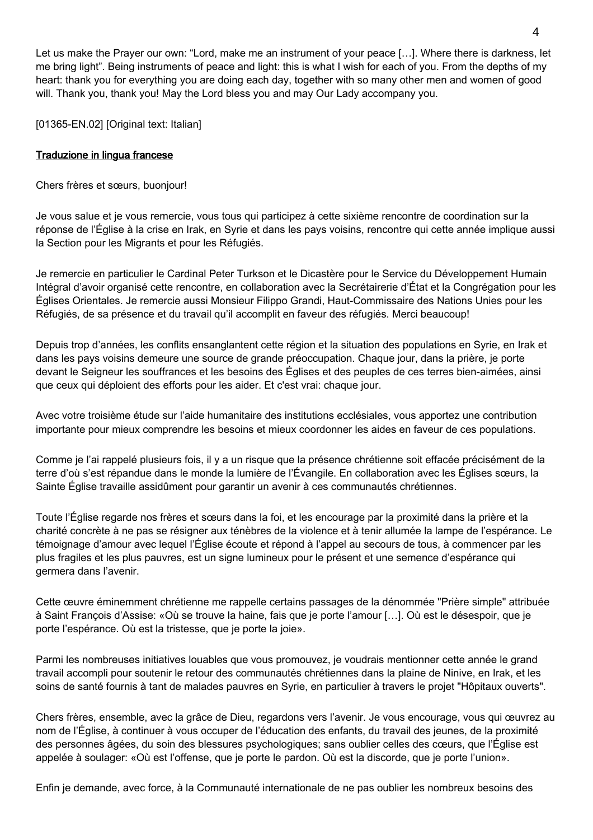Let us make the Prayer our own: "Lord, make me an instrument of your peace […]. Where there is darkness, let me bring light". Being instruments of peace and light: this is what I wish for each of you. From the depths of my heart: thank you for everything you are doing each day, together with so many other men and women of good will. Thank you, thank you! May the Lord bless you and may Our Lady accompany you.

[01365-EN.02] [Original text: Italian]

### Traduzione in lingua francese

Chers frères et sœurs, buonjour!

Je vous salue et je vous remercie, vous tous qui participez à cette sixième rencontre de coordination sur la réponse de l'Église à la crise en Irak, en Syrie et dans les pays voisins, rencontre qui cette année implique aussi la Section pour les Migrants et pour les Réfugiés.

Je remercie en particulier le Cardinal Peter Turkson et le Dicastère pour le Service du Développement Humain Intégral d'avoir organisé cette rencontre, en collaboration avec la Secrétairerie d'État et la Congrégation pour les Églises Orientales. Je remercie aussi Monsieur Filippo Grandi, Haut-Commissaire des Nations Unies pour les Réfugiés, de sa présence et du travail qu'il accomplit en faveur des réfugiés. Merci beaucoup!

Depuis trop d'années, les conflits ensanglantent cette région et la situation des populations en Syrie, en Irak et dans les pays voisins demeure une source de grande préoccupation. Chaque jour, dans la prière, je porte devant le Seigneur les souffrances et les besoins des Églises et des peuples de ces terres bien-aimées, ainsi que ceux qui déploient des efforts pour les aider. Et c'est vrai: chaque jour.

Avec votre troisième étude sur l'aide humanitaire des institutions ecclésiales, vous apportez une contribution importante pour mieux comprendre les besoins et mieux coordonner les aides en faveur de ces populations.

Comme je l'ai rappelé plusieurs fois, il y a un risque que la présence chrétienne soit effacée précisément de la terre d'où s'est répandue dans le monde la lumière de l'Évangile. En collaboration avec les Églises sœurs, la Sainte Église travaille assidûment pour garantir un avenir à ces communautés chrétiennes.

Toute l'Église regarde nos frères et sœurs dans la foi, et les encourage par la proximité dans la prière et la charité concrète à ne pas se résigner aux ténèbres de la violence et à tenir allumée la lampe de l'espérance. Le témoignage d'amour avec lequel l'Église écoute et répond à l'appel au secours de tous, à commencer par les plus fragiles et les plus pauvres, est un signe lumineux pour le présent et une semence d'espérance qui germera dans l'avenir.

Cette œuvre éminemment chrétienne me rappelle certains passages de la dénommée "Prière simple" attribuée à Saint François d'Assise: «Où se trouve la haine, fais que je porte l'amour […]. Où est le désespoir, que je porte l'espérance. Où est la tristesse, que je porte la joie».

Parmi les nombreuses initiatives louables que vous promouvez, je voudrais mentionner cette année le grand travail accompli pour soutenir le retour des communautés chrétiennes dans la plaine de Ninive, en Irak, et les soins de santé fournis à tant de malades pauvres en Syrie, en particulier à travers le projet "Hôpitaux ouverts".

Chers frères, ensemble, avec la grâce de Dieu, regardons vers l'avenir. Je vous encourage, vous qui œuvrez au nom de l'Église, à continuer à vous occuper de l'éducation des enfants, du travail des jeunes, de la proximité des personnes âgées, du soin des blessures psychologiques; sans oublier celles des cœurs, que l'Église est appelée à soulager: «Où est l'offense, que je porte le pardon. Où est la discorde, que je porte l'union».

Enfin je demande, avec force, à la Communauté internationale de ne pas oublier les nombreux besoins des